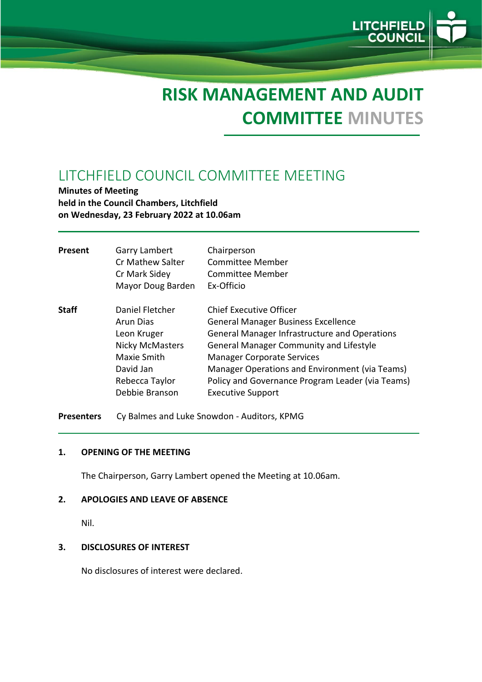# **RISK MANAGEMENT AND AUDIT COMMITTEE MINUTES**

LITCHFI<br>COUN

# LITCHFIELD COUNCIL COMMITTEE MEETING

**Minutes of Meeting held in the Council Chambers, Litchfield on Wednesday, 23 February 2022 at 10.06am**

| Present      | Garry Lambert<br><b>Cr Mathew Salter</b><br>Cr Mark Sidey<br>Mayor Doug Barden                                                        | Chairperson<br><b>Committee Member</b><br>Committee Member<br>Ex-Officio                                                                                                                                                                                                                                                                                      |
|--------------|---------------------------------------------------------------------------------------------------------------------------------------|---------------------------------------------------------------------------------------------------------------------------------------------------------------------------------------------------------------------------------------------------------------------------------------------------------------------------------------------------------------|
| <b>Staff</b> | Daniel Fletcher<br>Arun Dias<br>Leon Kruger<br><b>Nicky McMasters</b><br>Maxie Smith<br>David Jan<br>Rebecca Taylor<br>Debbie Branson | <b>Chief Executive Officer</b><br><b>General Manager Business Excellence</b><br><b>General Manager Infrastructure and Operations</b><br><b>General Manager Community and Lifestyle</b><br><b>Manager Corporate Services</b><br>Manager Operations and Environment (via Teams)<br>Policy and Governance Program Leader (via Teams)<br><b>Executive Support</b> |

**Presenters** Cy Balmes and Luke Snowdon - Auditors, KPMG

#### **1. OPENING OF THE MEETING**

The Chairperson, Garry Lambert opened the Meeting at 10.06am.

#### **2. APOLOGIES AND LEAVE OF ABSENCE**

Nil.

#### **3. DISCLOSURES OF INTEREST**

No disclosures of interest were declared.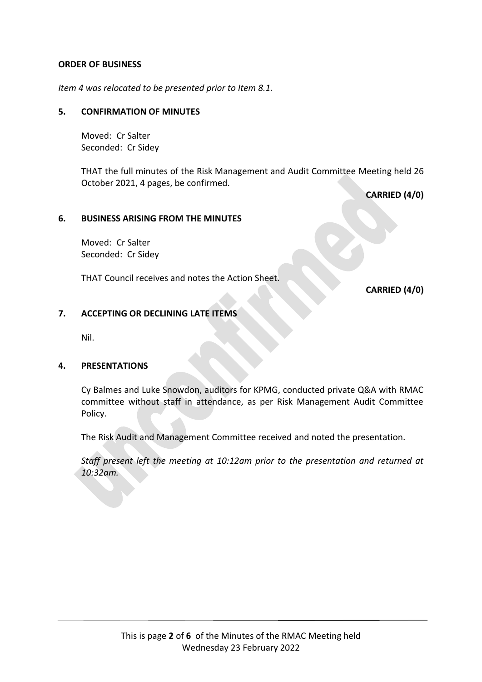#### **ORDER OF BUSINESS**

*Item 4 was relocated to be presented prior to Item 8.1.*

#### **5. CONFIRMATION OF MINUTES**

Moved: Cr Salter Seconded: Cr Sidey

THAT the full minutes of the Risk Management and Audit Committee Meeting held 26 October 2021, 4 pages, be confirmed.

**CARRIED (4/0)**

#### **6. BUSINESS ARISING FROM THE MINUTES**

Moved: Cr Salter Seconded: Cr Sidey

THAT Council receives and notes the Action Sheet.

**CARRIED (4/0)**

# **7. ACCEPTING OR DECLINING LATE ITEMS**

Nil.

#### **4. PRESENTATIONS**

Cy Balmes and Luke Snowdon, auditors for KPMG, conducted private Q&A with RMAC committee without staff in attendance, as per Risk Management Audit Committee Policy.

The Risk Audit and Management Committee received and noted the presentation.

*Staff present left the meeting at 10:12am prior to the presentation and returned at 10:32am.*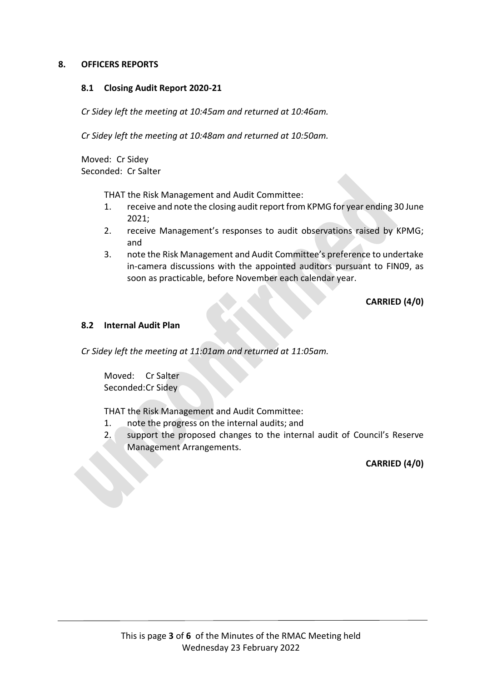#### **8. OFFICERS REPORTS**

#### **8.1 Closing Audit Report 2020-21**

*Cr Sidey left the meeting at 10:45am and returned at 10:46am.*

*Cr Sidey left the meeting at 10:48am and returned at 10:50am.*

Moved: Cr Sidey Seconded: Cr Salter

THAT the Risk Management and Audit Committee:

- 1. receive and note the closing audit report from KPMG for year ending 30 June 2021;
- 2. receive Management's responses to audit observations raised by KPMG; and
- 3. note the Risk Management and Audit Committee's preference to undertake in-camera discussions with the appointed auditors pursuant to FIN09, as soon as practicable, before November each calendar year.

**CARRIED (4/0)**

#### **8.2 Internal Audit Plan**

*Cr Sidey left the meeting at 11:01am and returned at 11:05am.*

Moved: Cr Salter Seconded:Cr Sidey

THAT the Risk Management and Audit Committee:

- 1. note the progress on the internal audits; and
- 2. support the proposed changes to the internal audit of Council's Reserve Management Arrangements.

**CARRIED (4/0)**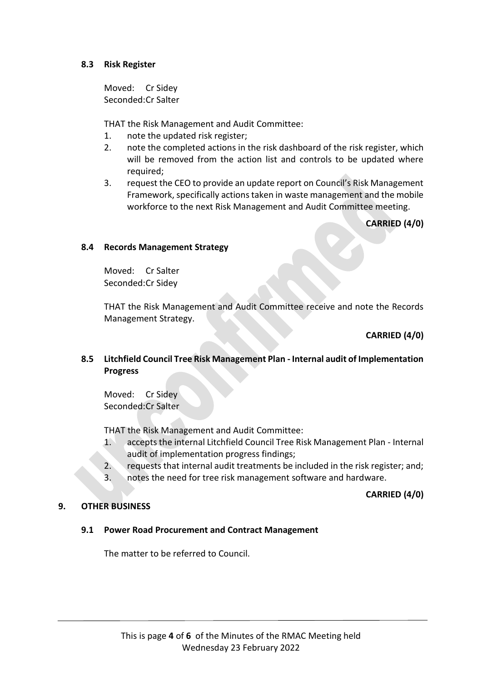#### **8.3 Risk Register**

Moved: Cr Sidey Seconded:Cr Salter

THAT the Risk Management and Audit Committee:

- 1. note the updated risk register;
- 2. note the completed actions in the risk dashboard of the risk register, which will be removed from the action list and controls to be updated where required;
- 3. request the CEO to provide an update report on Council's Risk Management Framework, specifically actions taken in waste management and the mobile workforce to the next Risk Management and Audit Committee meeting.

**CARRIED (4/0)**

#### **8.4 Records Management Strategy**

Moved: Cr Salter Seconded:Cr Sidey

THAT the Risk Management and Audit Committee receive and note the Records Management Strategy.

# **CARRIED (4/0)**

# **8.5 Litchfield Council Tree Risk Management Plan - Internal audit of Implementation Progress**

Moved: Cr Sidey Seconded:Cr Salter

THAT the Risk Management and Audit Committee:

- 1. accepts the internal Litchfield Council Tree Risk Management Plan Internal audit of implementation progress findings;
- 2. requests that internal audit treatments be included in the risk register; and;
- 3. notes the need for tree risk management software and hardware.

# **CARRIED (4/0)**

# **9. OTHER BUSINESS**

# **9.1 Power Road Procurement and Contract Management**

The matter to be referred to Council.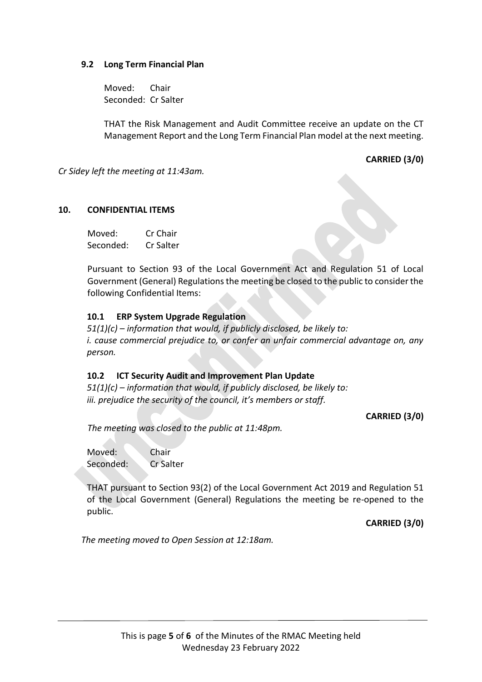#### **9.2 Long Term Financial Plan**

Moved: Chair Seconded: Cr Salter

THAT the Risk Management and Audit Committee receive an update on the CT Management Report and the Long Term Financial Plan model at the next meeting.

**CARRIED (3/0)**

*Cr Sidey left the meeting at 11:43am.*

#### **10. CONFIDENTIAL ITEMS**

Moved: Cr Chair Seconded: Cr Salter

Pursuant to Section 93 of the Local Government Act and Regulation 51 of Local Government (General) Regulations the meeting be closed to the public to consider the following Confidential Items:

#### **10.1 ERP System Upgrade Regulation**

*51(1)(c) – information that would, if publicly disclosed, be likely to: i. cause commercial prejudice to, or confer an unfair commercial advantage on, any person.*

#### **10.2 ICT Security Audit and Improvement Plan Update**

*51(1)(c) – information that would, if publicly disclosed, be likely to: iii. prejudice the security of the council, it's members or staff.*

**CARRIED (3/0)**

*The meeting was closed to the public at 11:48pm.*

Moved: Chair Seconded: Cr Salter

THAT pursuant to Section 93(2) of the Local Government Act 2019 and Regulation 51 of the Local Government (General) Regulations the meeting be re-opened to the public.

**CARRIED (3/0)**

*The meeting moved to Open Session at 12:18am.*